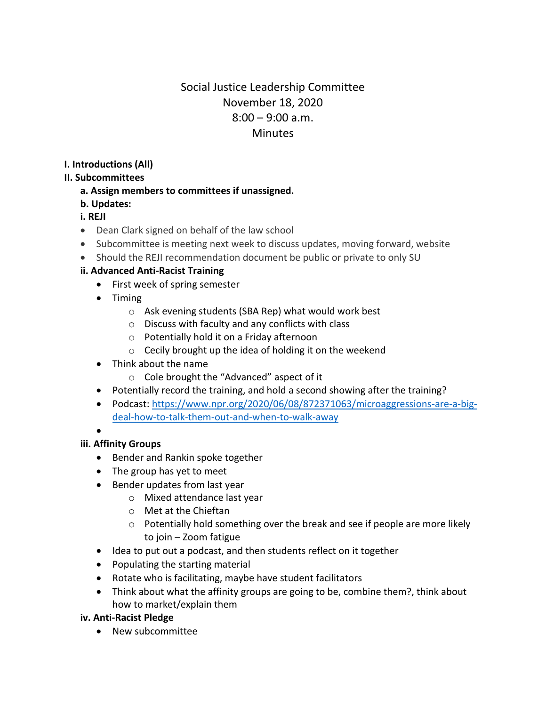# Social Justice Leadership Committee November 18, 2020  $8:00 - 9:00$  a.m. **Minutes**

**I. Introductions (All)** 

#### **II. Subcommittees**

**a. Assign members to committees if unassigned.** 

### **b. Updates:**

# **i. REJI**

- Dean Clark signed on behalf of the law school
- Subcommittee is meeting next week to discuss updates, moving forward, website
- Should the REJI recommendation document be public or private to only SU

### **ii. Advanced Anti-Racist Training**

- First week of spring semester
- Timing
	- o Ask evening students (SBA Rep) what would work best
	- o Discuss with faculty and any conflicts with class
	- o Potentially hold it on a Friday afternoon
	- $\circ$  Cecily brought up the idea of holding it on the weekend
- Think about the name
	- o Cole brought the "Advanced" aspect of it
- Potentially record the training, and hold a second showing after the training?
- Podcast: [https://www.npr.org/2020/06/08/872371063/microaggressions-are-a-big](https://www.npr.org/2020/06/08/872371063/microaggressions-are-a-big-deal-how-to-talk-them-out-and-when-to-walk-away)[deal-how-to-talk-them-out-and-when-to-walk-away](https://www.npr.org/2020/06/08/872371063/microaggressions-are-a-big-deal-how-to-talk-them-out-and-when-to-walk-away)

•

# **iii. Affinity Groups**

- Bender and Rankin spoke together
- The group has yet to meet
- Bender updates from last year
	- o Mixed attendance last year
	- o Met at the Chieftan
	- o Potentially hold something over the break and see if people are more likely to join – Zoom fatigue
- Idea to put out a podcast, and then students reflect on it together
- Populating the starting material
- Rotate who is facilitating, maybe have student facilitators
- Think about what the affinity groups are going to be, combine them?, think about how to market/explain them

#### **iv. Anti-Racist Pledge**

• New subcommittee